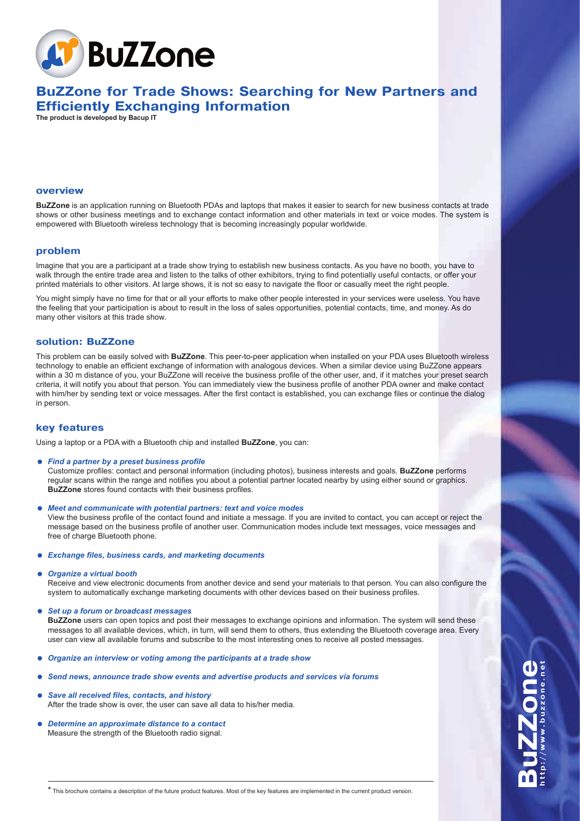

# **BuZZone for Trade Shows: Searching for New Partners and Efficiently Exchanging Information**

**The product is developed by Bacup IT**

#### **overview**

**BuZZone** is an application running on Bluetooth PDAs and laptops that makes it easier to search for new business contacts at trade shows or other business meetings and to exchange contact information and other materials in text or voice modes. The system is empowered with Bluetooth wireless technology that is becoming increasingly popular worldwide.

## **problem**

Imagine that you are a participant at a trade show trying to establish new business contacts. As you have no booth, you have to walk through the entire trade area and listen to the talks of other exhibitors, trying to find potentially useful contacts, or offer your printed materials to other visitors. At large shows, it is not so easy to navigate the floor or casually meet the right people.

You might simply have no time for that or all your efforts to make other people interested in your services were useless. You have the feeling that your participation is about to result in the loss of sales opportunities, potential contacts, time, and money. As do many other visitors at this trade show.

## **solution: BuZZone**

This problem can be easily solved with **BuZZone**. This peer-to-peer application when installed on your PDA uses Bluetooth wireless technology to enable an efficient exchange of information with analogous devices. When a similar device using BuZZone appears within a 30 m distance of you, your BuZZone will receive the business profile of the other user, and, if it matches your preset search criteria, it will notify you about that person. You can immediately view the business profile of another PDA owner and make contact with him/her by sending text or voice messages. After the first contact is established, you can exchange files or continue the dialog in person.

## **key features**

Using a laptop or a PDA with a Bluetooth chip and installed **BuZZone**, you can:

= *Find a partner by a preset business profile*

Customize profiles: contact and personal information (including photos), business interests and goals. **BuZZone** performs regular scans within the range and notifies you about a potential partner located nearby by using either sound or graphics. **BuZZone** stores found contacts with their business profiles.

= *Meet and communicate with potential partners: text and voice modes*

View the business profile of the contact found and initiate a message. If you are invited to contact, you can accept or reject the message based on the business profile of another user. Communication modes include text messages, voice messages and free of charge Bluetooth phone.

= *Exchange files, business cards, and marketing documents*

#### = *Organize a virtual booth*

Receive and view electronic documents from another device and send your materials to that person. You can also configure the system to automatically exchange marketing documents with other devices based on their business profiles.

= *Set up a forum or broadcast messages*

**BuZZone** users can open topics and post their messages to exchange opinions and information. The system will send these messages to all available devices, which, in turn, will send them to others, thus extending the Bluetooth coverage area. Every user can view all available forums and subscribe to the most interesting ones to receive all posted messages.

- = *Organize an interview or voting among the participants at a trade show*
- Send news, announce trade show events and advertise products and services via forums
- Save all received files, contacts, and history After the trade show is over, the user can save all data to his/her media.
- = *Determine an approximate distance to a contact* Measure the strength of the Bluetooth radio signal.

**BuZZone** http://www.buzzone.net

\* This brochure contains a description of the future product features. Most of the key features are implemented in the current product version.